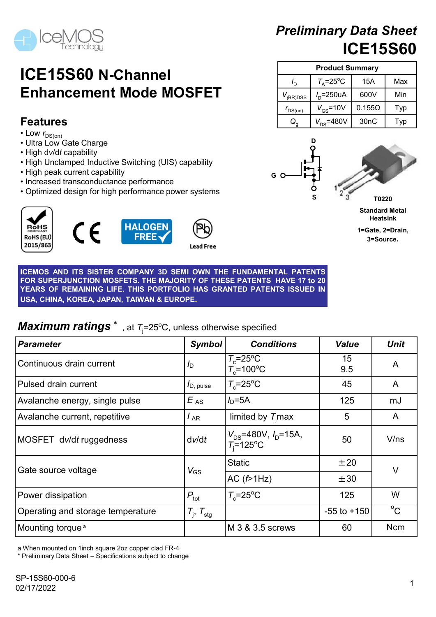

# Preliminary Data Sheet ICE15S60 1 ary Data Sheet<br>
ICE15S60<br>
Doduct Summary<br>  $\frac{=25^{\circ}\text{C}}{250\text{UA}}$   $\frac{15\text{A}}{600\text{V}}$  Min<br>  $\frac{15}{\text{S}}=10\text{V}}$  0.155 $\Omega$  Typ<br>  $\frac{1}{3}\text{A}$   $\frac{1}{30\text{nC}}$  Typ  $\begin{array}{r|l} \textbf{nary Data Sheet} \\ \hline \textbf{ICE15S60} \\ \textbf{roduct Summary} \\ \hline \textbf{r=25°C} & 15 \text{A} & \text{Max} \\ \textbf{r=250uA} & 600 \text{V} & \text{Min} \\ \textbf{r_{GS}} = 10 \text{V} & 0.155 \text{O} & \text{Typ} \\ \hline \textbf{r}_{\text{SS}} = 480 \text{V} & 30 \text{nC} & \text{Typ} \\ \hline \end{array}$ **reliminary Data Sheet**<br> **ICE15S60**<br>
Product Summary<br>  $\frac{I_D}{I_A = 25^\circ \text{C}}$  15A Max<br>  $\frac{I_D = 250 \text{uA}}{600 \text{V}}$  Min<br>  $\frac{V_{\text{GS}}}{Q_g}$   $\frac{V_{\text{GS}} = 10 \text{V}}{V_{\text{DS}} = 480 \text{V}}$  30nC Typ<br>  $\frac{D}{Q}$ eliminary Data Sheet<br> **ICE15S60**<br>
Product Summary<br>  $\frac{I_D}{2}$   $\frac{T_A=25^{\circ}\text{C}}{I_D=250\text{uA}}$  600V Min<br>  $\frac{V_{GS}=10\text{V}}{V_{OS}=480\text{V}}$  0.1550 Typ<br>  $Q_g$   $\frac{V_{DS}=480\text{V}}{V_{DS}=480\text{V}}$  30nC Typ

Product Summary

# ICE15S60 N-Channel Enhancement Mode MOSFET  $\overline{v_{\text{BRIDSS}}}$

## Features

- Low  $r_{DS(on)}$
- Ultra Low Gate Charge
- High dv/dt capability
- High Unclamped Inductive Switching (UIS) capability
- High peak current capability
- Increased transconductance performance
- Optimized design for high performance power systems



**Enhancement Mode MOSFET**<br>
Features<br>
Textures<br>
Textures and Company of the state charge<br>
Libra Low Gate Charge<br>
Libra Company of the state of the state of the state of the state of the state of the state of the state of t **Enhancement Mode MOSFET**<br>
Features<br>
Low f<sub>0sson</sub><br>
Low f<sub>0sson</sub><br>
Low for the Charge<br>
Unital coverage of the Charge<br>
High divide capability<br>
The Local Charge<br>
The Maximum of the High performance power systems<br>
Columized de **FEATURE CONTROLL CONTROLL CONTROLL CONTROLL CONTROLL CONTROLL CONTROLL CONTROLL CONTROLL CONTROLL CONTROLL CONTROLL CONTROLL CONTROLL CONTROLL CONTROLL CONTROLL CONTROLL CONTROLL CONTROLL CONTROLL CONTROLL CONTROLL CONTR Features**<br>
USA, CHINA, KOREA, JAPAN, TAIWAN & EUROPE.<br>
USA CONTROLLATION CONTROLLATION CONTROLLATION CONTROLLATION CONTROLLATION CONTROLLATION CONTROLLATION CONTROLLATION CONTROLLATION CONTROLLATION CONTROLLATION CONTROL

## **Maximum ratings**  $*$ , at  $T_i = 25^{\circ}$ C, unless otherwise specified

| • High Unclamped Inductive Switching (UIS) capability<br>• High peak current capability<br>• Increased transconductance performance<br>• Optimized design for high performance power systems<br>HALOGEN<br>FREE<br>$\epsilon$<br><b>ROHS</b><br>RoHS (EU)<br>2015/863                                                                                  | <b>Lead Free</b>            |                                               |                 | T0220<br><b>Standard Metal</b><br><b>Heatsink</b><br>1=Gate, 2=Drain,<br>3=Source. |
|--------------------------------------------------------------------------------------------------------------------------------------------------------------------------------------------------------------------------------------------------------------------------------------------------------------------------------------------------------|-----------------------------|-----------------------------------------------|-----------------|------------------------------------------------------------------------------------|
| ICEMOS AND ITS SISTER COMPANY 3D SEMI OWN THE FUNDAMENTAL PATENTS<br>FOR SUPERJUNCTION MOSFETS. THE MAJORITY OF THESE PATENTS HAVE 17 to 20<br>YEARS OF REMAINING LIFE. THIS PORTFOLIO HAS GRANTED PATENTS ISSUED IN<br>USA, CHINA, KOREA, JAPAN, TAIWAN & EUROPE.<br><b>Maximum ratings</b> $*$ , at $T_i = 25^{\circ}C$ , unless otherwise specified |                             |                                               |                 |                                                                                    |
| Parameter                                                                                                                                                                                                                                                                                                                                              | Symbol                      | <b>Conditions</b>                             | <b>Value</b>    | <b>Unit</b>                                                                        |
| Continuous drain current                                                                                                                                                                                                                                                                                                                               | ID.                         | $T_c = 25$ °C<br>$T_c$ =100°C                 | 15<br>9.5       | A                                                                                  |
| Pulsed drain current                                                                                                                                                                                                                                                                                                                                   | $I_D$ , pulse               | $T_c = 25$ °C                                 | 45              | A                                                                                  |
| Avalanche energy, single pulse                                                                                                                                                                                                                                                                                                                         | $E_{AS}$                    | $ID=5A$                                       | 125             | mJ                                                                                 |
| Avalanche current, repetitive                                                                                                                                                                                                                                                                                                                          | $I_{AR}$                    | limited by $T_i$ max                          | 5               | A                                                                                  |
| MOSFET dv/dt ruggedness                                                                                                                                                                                                                                                                                                                                | dv/dt                       | $V_{DS}$ =480V, $I_D$ =15A,<br>$T_i = 125$ °C | 50              | V/ns                                                                               |
|                                                                                                                                                                                                                                                                                                                                                        |                             | <b>Static</b>                                 | ±20             |                                                                                    |
| Gate source voltage                                                                                                                                                                                                                                                                                                                                    | $V_{GS}$                    | AC(f>1Hz)                                     | ±30             | V                                                                                  |
| Power dissipation                                                                                                                                                                                                                                                                                                                                      | $P_{\rm tot}$               | $T_c = 25$ °C                                 | 125             | W                                                                                  |
| Operating and storage temperature                                                                                                                                                                                                                                                                                                                      | $T_{\rm j}$ , $T_{\rm stg}$ |                                               | $-55$ to $+150$ | $^{\circ}C$                                                                        |
| Mounting torque <sup>a</sup>                                                                                                                                                                                                                                                                                                                           |                             | M 3 & 3.5 screws                              | 60              | <b>Ncm</b>                                                                         |
| a When mounted on 1inch square 2oz copper clad FR-4<br>* Preliminary Data Sheet - Specifications subject to change                                                                                                                                                                                                                                     |                             |                                               |                 |                                                                                    |
| SP-15S60-000-6<br>02/17/2022                                                                                                                                                                                                                                                                                                                           |                             |                                               |                 |                                                                                    |



 $V_{\text{D}}$ =250uA | 600V | Min

 $I_{\text{D}}$  |  $T_{\text{A}}$ =25°C | 15A | Max |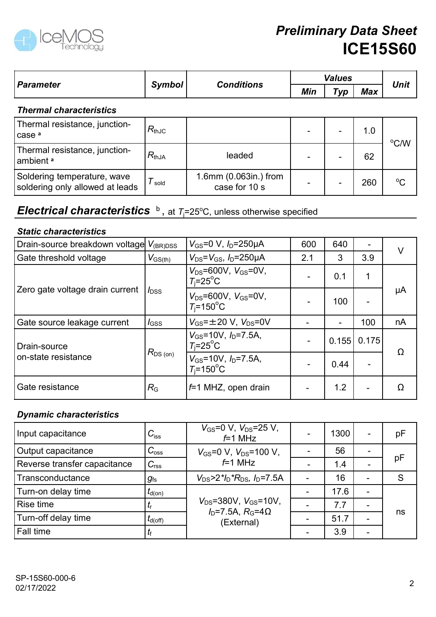

|                                                                                                      |                     |                                                        | <b>Preliminary Data Sheet</b> |               | <b>ICE15S60</b>          |             |
|------------------------------------------------------------------------------------------------------|---------------------|--------------------------------------------------------|-------------------------------|---------------|--------------------------|-------------|
|                                                                                                      |                     |                                                        |                               | <b>Values</b> |                          |             |
| <b>Parameter</b>                                                                                     | Symbol              | <b>Conditions</b>                                      | Min                           | Typ           | Max                      | <b>Unit</b> |
| <b>Thermal characteristics</b>                                                                       |                     |                                                        |                               |               |                          |             |
| Thermal resistance, junction-<br>case <sup>a</sup>                                                   | $R_{thJC}$          |                                                        |                               |               | 1.0                      |             |
| Thermal resistance, junction-<br>ambient <sup>a</sup>                                                | $R_{thJA}$          | leaded                                                 |                               |               | 62                       | °C/W        |
| Soldering temperature, wave<br>soldering only allowed at leads                                       | $T_{\text{ sold}}$  | 1.6mm (0.063in.) from<br>case for 10 s                 |                               |               | 260                      | $^{\circ}C$ |
| <b>Electrical characteristics</b> $\overline{b}$ , at $T_i=25^{\circ}$ C, unless otherwise specified |                     |                                                        |                               |               |                          |             |
| <b>Static characteristics</b>                                                                        |                     |                                                        |                               |               |                          |             |
| Drain-source breakdown voltage V <sub>(BR)DSS</sub>                                                  |                     | $V_{GS} = 0 \text{ V}, I_D = 250 \mu \text{A}$         | 600                           | 640           |                          |             |
| Gate threshold voltage                                                                               | $V_{\text{GS(th)}}$ | $V_{DS} = V_{GS}$ , $I_D = 250 \mu A$                  | 2.1                           | 3             | 3.9                      | $\vee$      |
|                                                                                                      |                     | $V_{DS} = 600V, V_{GS} = 0V,$<br>$T_i = 25$ °C         |                               | 0.1           | $\mathbf 1$              |             |
| Zero gate voltage drain current                                                                      | $I_{\text{DSS}}$    | $V_{DS} = 600V, V_{GS} = 0V,$<br>$T_i = 150^{\circ}$ C |                               | 100           | $\overline{\phantom{a}}$ | μA          |
| l Gate source leakage current                                                                        | $I$ <sub>GSS</sub>  | $V_{\text{GS}} = \pm 20$ V. $V_{\text{DS}} = 0V$       |                               |               | 100                      | nA          |

## Electrical characteristics  $b$ , at  $T_1=25^{\circ}$ C, unless otherwise specified

#### Static characteristics

| Thermal Characteristics                                                                              |                       |                                                                   |                          |                          |                          |             |
|------------------------------------------------------------------------------------------------------|-----------------------|-------------------------------------------------------------------|--------------------------|--------------------------|--------------------------|-------------|
| Thermal resistance, junction-<br>case <sup>a</sup>                                                   | $R_{thJC}$            |                                                                   |                          |                          | 1.0                      |             |
| Thermal resistance, junction-<br>∣ambient ª                                                          | $R_{thJA}$            | leaded                                                            |                          |                          | 62                       | °C/W        |
| Soldering temperature, wave<br>soldering only allowed at leads                                       | $T_{\,\mathrm{gold}}$ | 1.6mm (0.063in.) from<br>case for 10 s                            |                          |                          | 260                      | $\rm ^{o}C$ |
| <b>Electrical characteristics</b> $\overline{b}$ , at $T_i=25^{\circ}$ C, unless otherwise specified |                       |                                                                   |                          |                          |                          |             |
| <b>Static characteristics</b>                                                                        |                       |                                                                   |                          |                          |                          |             |
| Drain-source breakdown voltage V <sub>(BR)DSS</sub>                                                  |                       | $V_{GS} = 0 \text{ V}, I_D = 250 \mu \text{A}$                    | 600                      | 640                      | $\overline{\phantom{a}}$ | $\vee$      |
| Gate threshold voltage                                                                               | $V_{\text{GS(th)}}$   | $V_{DS} = V_{GS}$ , $I_D = 250 \mu A$                             | 2.1                      | 3                        | 3.9                      |             |
|                                                                                                      |                       | $V_{DS} = 600V$ , $V_{GS} = 0V$ ,<br>$T_i = 25$ °C                |                          | 0.1                      |                          |             |
| Zero gate voltage drain current                                                                      | $I_{\text{DSS}}$      | $V_{DS} = 600V, V_{GS} = 0V,$<br>$T_i = 150^{\circ}$ C            | $\overline{\phantom{0}}$ | 100                      | $\overline{\phantom{0}}$ | μA          |
| Gate source leakage current                                                                          | $I_{\rm GSS}$         | $V_{GS} = \pm 20$ V, $V_{DS} = 0V$                                |                          | $\overline{\phantom{0}}$ | 100                      | nA          |
| Drain-source                                                                                         |                       | $V_{GS}$ =10V, $I_D$ =7.5A,<br>$T_i = 25$ °C                      | $\blacksquare$           |                          | $0.155$ 0.175            |             |
| on-state resistance                                                                                  | $R_{\rm DS\,(on)}$    | $V_{GS}$ =10V, $I_D$ =7.5A,<br>$T_i = 150^{\circ}$ C              | $\blacksquare$           | 0.44                     |                          | Ω           |
| Gate resistance                                                                                      | $R_{\rm G}$           | $f=1$ MHZ, open drain                                             |                          | 1.2                      | $\overline{a}$           | Ω           |
| <b>Dynamic characteristics</b>                                                                       |                       |                                                                   |                          |                          |                          |             |
| Input capacitance                                                                                    | $C_{\text{iss}}$      | $V_{GS}=0$ V, $V_{DS}=25$ V,<br>$f=1$ MHz                         |                          | 1300                     |                          | pF          |
| Output capacitance                                                                                   | $C_{\rm oss}$         | $V_{\text{GS}} = 0 \text{ V}$ , $V_{\text{DS}} = 100 \text{ V}$ , |                          | 56                       |                          |             |
| Reverse transfer capacitance                                                                         | $C_{\text{rss}}$      | $f=1$ MHz                                                         |                          | 1.4                      |                          | pF          |
| Transconductance                                                                                     | $g_{\rm fs}$          | $V_{DS}$ >2* $I_D$ * $R_{DS}$ , $I_D$ =7.5A                       |                          | 16                       | $\overline{\phantom{0}}$ | S           |
| Turn-on delay time                                                                                   | $t_{\sf d(on)}$       |                                                                   | $\blacksquare$           | 17.6                     |                          |             |
| Rise time                                                                                            | $t_{\mathsf{r}}$      | $V_{DS} = 380V$ , $V_{GS} = 10V$ ,<br>$ID=7.5A$ , $RG=4\Omega$    |                          | 7.7                      |                          |             |
| Turn-off delay time                                                                                  | $t_{\sf d(off)}$      | (External)                                                        |                          | 51.7                     |                          | ns          |
|                                                                                                      |                       |                                                                   |                          |                          |                          |             |

## Dynamic characteristics

|                                |                                | $T_i = 150$ °C                                                                 |                          | 100            |               |    |
|--------------------------------|--------------------------------|--------------------------------------------------------------------------------|--------------------------|----------------|---------------|----|
| Gate source leakage current    | $I_{\text{GSS}}$               | $V_{GS} = \pm 20$ V, $V_{DS} = 0V$                                             |                          | $\blacksquare$ | 100           | nA |
| Drain-source                   |                                | $V_{GS}$ =10V, $I_D$ =7.5A,<br>$T_i = 25$ °C                                   | $\overline{\phantom{0}}$ |                | $0.155$ 0.175 | Ω  |
| on-state resistance            | $R_{DS\, (on)}$                | $V_{GS}$ =10V, $I_D$ =7.5A,<br>$T_i = 150^{\circ}$ C                           |                          | 0.44           |               |    |
| Gate resistance                | $R_{\rm G}$                    | $f=1$ MHZ, open drain                                                          |                          | 1.2            |               | Ω  |
| <b>Dynamic characteristics</b> |                                |                                                                                |                          |                |               |    |
| Input capacitance              | $C_{\text{iss}}$               | $V_{GS}=0$ V, $V_{DS}=25$ V,<br>$f=1$ MHz                                      |                          | 1300           |               | pF |
| Output capacitance             | $C_{\rm oss}$                  | $V_{\text{GS}} = 0 \text{ V}$ , $V_{\text{DS}} = 100 \text{ V}$ ,              | $\blacksquare$           | 56             |               |    |
| Reverse transfer capacitance   | $C_{\text{rss}}$               | $f=1$ MHz                                                                      | -                        | 1.4            |               | pF |
| Transconductance               | $g_{\rm fs}$                   | $V_{DS}$ >2* $I_D$ * $R_{DS}$ , $I_D$ =7.5A                                    | $\blacksquare$           | 16             |               | S  |
| Turn-on delay time             | $t_{\text{d}(on)}$             |                                                                                | $\overline{\phantom{a}}$ | 17.6           |               |    |
| Rise time                      | $\mathsf{L}_{\mathsf{\Gamma}}$ | $V_{DS} = 380V, V_{GS} = 10V,$<br>$I_D$ =7.5A, $R_G$ =4 $\Omega$<br>(External) |                          | 7.7            |               | ns |
| Turn-off delay time            | $t_{\mathsf{d}(\mathsf{off})}$ |                                                                                |                          | 51.7           |               |    |
|                                |                                |                                                                                |                          | 3.9            |               |    |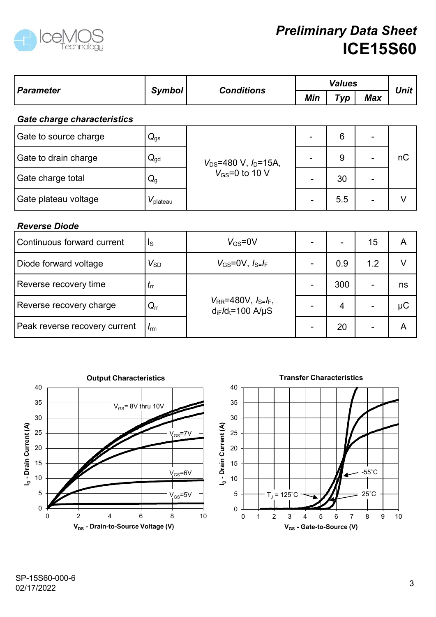

|                               |                      |                                                            |                              | <b>Values</b>  |                          | <b>ICE15S60</b> |
|-------------------------------|----------------------|------------------------------------------------------------|------------------------------|----------------|--------------------------|-----------------|
| <b>Parameter</b>              | <b>Symbol</b>        | <b>Conditions</b>                                          | Min                          | Typ            | <b>Max</b>               | <b>Unit</b>     |
| Gate charge characteristics   |                      |                                                            |                              |                |                          |                 |
| Gate to source charge         | $Q_{gs}$             |                                                            |                              | $6\phantom{1}$ |                          |                 |
| Gate to drain charge          | $Q_{\text{gd}}$      | $V_{DS}$ =480 V, $I_D$ =15A,<br>$V_{GS}$ =0 to 10 V        | $\overline{\phantom{a}}$     | 9              | ٠                        | nC              |
| Gate charge total             | $Q_{g}$              |                                                            | $\overline{\phantom{a}}$     | 30             | $\overline{\phantom{a}}$ |                 |
| Gate plateau voltage          | $V_{\text{plateau}}$ |                                                            | $\overline{\phantom{a}}$     | 5.5            | $\overline{\phantom{a}}$ | $\vee$          |
| <b>Reverse Diode</b>          |                      |                                                            |                              |                |                          |                 |
| Continuous forward current    | $I_{\rm S}$          | $V_{GS} = 0V$                                              | $\blacksquare$               |                | 15                       | $\mathsf{A}$    |
| Diode forward voltage         | $V_{SD}$             | $V_{GS}$ =0V, $I_{S=}I_F$                                  | $\sim$                       | 0.9            | 1.2                      | $\vee$          |
| Reverse recovery time         | $t_{\rm rr}$         |                                                            | $\blacksquare$               | 300            | $\blacksquare$           | ns              |
| Reverse recovery charge       | $Q_{rr}$             | $V_{RR} = 480V, I_{S} = I_F,$<br>$d_{iF}/d_{t} = 100$ A/µS | $\qquad \qquad \blacksquare$ | 4              | $\overline{\phantom{0}}$ | $\mu$ C         |
| Peak reverse recovery current | $I_{\rm rm}$         |                                                            | ٠                            | 20             | $\blacksquare$           | $\mathsf{A}$    |





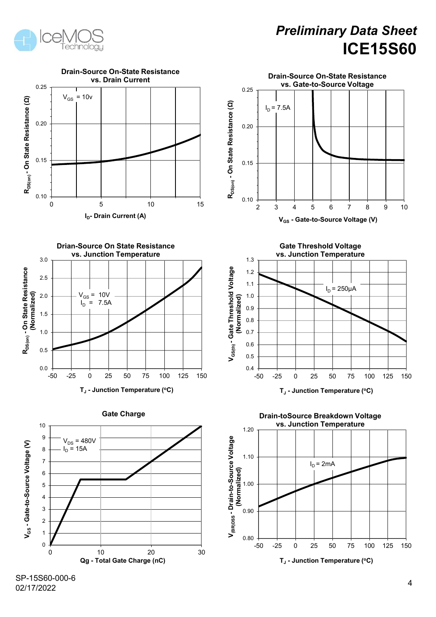



SP-15S60-000-6 02/17/2022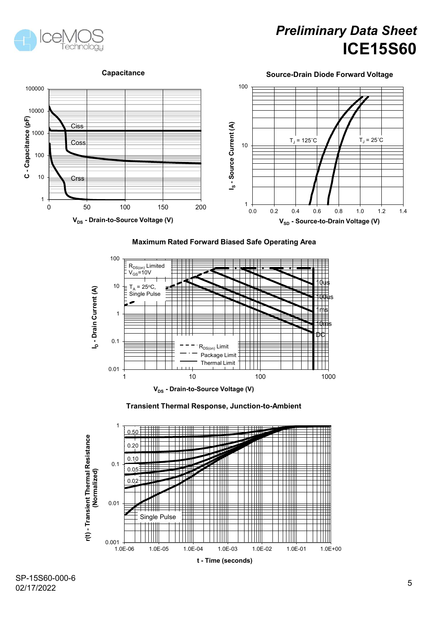







#### Maximum Rated Forward Biased Safe Operating Area





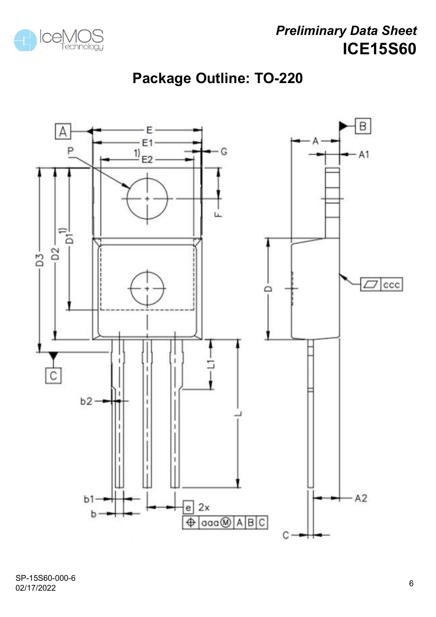

# Package Outline: TO-220



SP-15S60-000-6 02/17/2022 <sup>6</sup>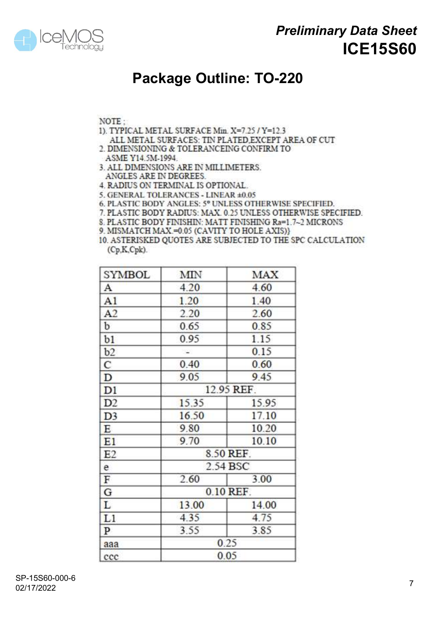

## Package Outline: TO-220

#### NOTE:

- 1). TYPICAL METAL SURFACE Min. X=7.25 / Y=12.3
- ALL METAL SURFACES: TIN PLATED EXCEPT AREA OF CUT
- 2. DIMENSIONING & TOLERANCEING CONFIRM TO
- ASME Y14.5M-1994. 3. ALL DIMENSIONS ARE IN MILLIMETERS. ANGLES ARE IN DEGREES.
- **4. RADIUS ON TERMINAL IS OPTIONAL.**
- 5. GENERAL TOLERANCES LINEAR ±0.05
- 6. PLASTIC BODY ANGLES: 5° UNLESS OTHERWISE SPECIFIED.
- 7. PLASTIC BODY RADIUS: MAX. 0.25 UNLESS OTHERWISE SPECIFIED.
- 8 PLASTIC BODY FINISHIN: MATT FINISHING Ra=1 7~2 MICRONS
- 9. MISMATCH MAX = 0.05 (CAVITY TO HOLE AXIS)}

10. ASTERISKED QUOTES ARE SUBJECTED TO THE SPC CALCULATION  $(Cp,K,Cpk)$ .

| SYMBOL         | <b>MIN</b> | <b>MAX</b> |  |  |  |  |
|----------------|------------|------------|--|--|--|--|
| А              | 4.20       | 4.60       |  |  |  |  |
| A1             | 1.20       | 1.40       |  |  |  |  |
| A <sub>2</sub> | 2.20       | 2.60       |  |  |  |  |
| b              | 0.65       | 0.85       |  |  |  |  |
| b1             | 0.95       | 1.15       |  |  |  |  |
| b2             |            | 0.15       |  |  |  |  |
| с              | 0.40       | 0.60       |  |  |  |  |
| $\mathbf D$    | 9.05       | 9.45       |  |  |  |  |
| D1             | 12.95 REF. |            |  |  |  |  |
| D <sub>2</sub> | 15.35      | 15.95      |  |  |  |  |
| D <sub>3</sub> | 16.50      | 17.10      |  |  |  |  |
| E              | 9.80       | 10.20      |  |  |  |  |
| E1             | 9.70       | 10.10      |  |  |  |  |
| E <sub>2</sub> | 8.50 REF.  |            |  |  |  |  |
| e              | 2.54 BSC   |            |  |  |  |  |
| $\mathbf F$    | 2.60       | 3.00       |  |  |  |  |
| G              | 0.10 REF.  |            |  |  |  |  |
| L              | 13.00      | 14.00      |  |  |  |  |
| L1             | 4.35       | 4.75       |  |  |  |  |
| $\mathbf{P}$   | 3.55       | 3.85       |  |  |  |  |
| aaa            | 0.25       |            |  |  |  |  |
| ccc            | 0.05       |            |  |  |  |  |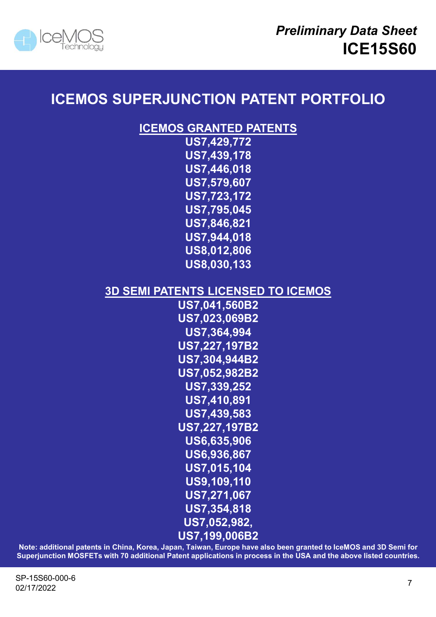

## ICEMOS SUPERJUNCTION PATENT PORTFOLIO

### ICEMOS GRANTED PATENTS

US7,429,772 US7,439,178 US7,446,018 US7,579,607 US7,723,172 US7,795,045 US7,846,821 US7,944,018 US8,012,806 US8,030,133

## 3D SEMI PATENTS LICENSED TO ICEMOS

US7,041,560B2 US7,023,069B2 US7,364,994 US7,227,197B2 US7,304,944B2 US7,052,982B2 US7,339,252 US7,410,891 US7,439,583 US7,227,197B2 US6,635,906 US6,936,867 US7,015,104 US9,109,110 US7,271,067 US7,354,818 US7,052,982, US7,199,006B2  $(0.87, 304, 944B2$ <br>  $(0.87, 339, 252$ <br>  $(0.87, 439, 582$ <br>  $(0.87, 439, 583)$ <br>  $(0.86, 936, 865, 906)$ <br>  $(0.86, 936, 867)$ <br>  $(0.86, 936, 867)$ <br>  $(0.87, 949, 110)$ <br>  $(0.87, 271, 067)$ <br>  $(0.87, 199, 006B2)$ <br>
Note: additiona US7, 052, 982B2<br>
US7, 339, 252<br>
US7, 410, 891<br>
US7, 410, 891<br>
US7, 227, 197B2<br>
US6, 635, 906<br>
US6, 936, 867<br>
US7, 015, 110<br>
US9, 109, 110<br>
US7, 052, 982,<br>
Note: additional patents in China, Korea, Japan, Taiwan, Europe ha